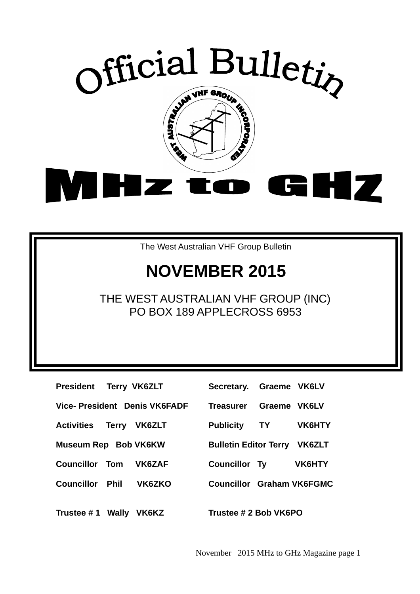

The West Australian VHF Group Bulletin

# **NOVEMBER 2015**

THE WEST AUSTRALIAN VHF GROUP (INC) PO BOX 189 APPLECROSS 6953

**President Terry VK6ZLT Vice- President Denis VK6FADF Activities Terry VK6ZLT Museum Rep Bob VK6KW Councillor Tom VK6ZAF** Councillor Phil **VK6ZKO** 

| Secretary. Graeme VK6LV             |              |               |
|-------------------------------------|--------------|---------------|
| Treasurer                           | Graeme VK6LV |               |
| <b>Publicity</b>                    | <b>TY</b>    | <b>VK6HTY</b> |
| <b>Bulletin Editor Terry VK6ZLT</b> |              |               |
| <b>Councillor Ty</b>                |              | <b>VK6HTY</b> |
| <b>Councillor Graham VK6FGMC</b>    |              |               |
|                                     |              |               |

**Trustee # 1 Wally VK6KZ Trustee # 2 Bob VK6PO** 

November 2015 MHz to GHz Magazine page 1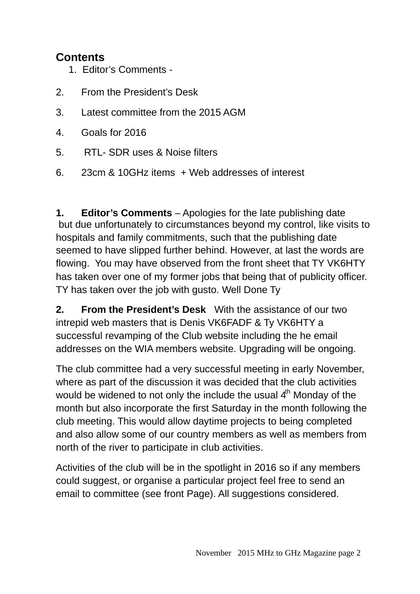## **Contents**

- 1. Editor's Comments -
- 2. From the President's Desk
- 3. Latest committee from the 2015 AGM
- 4. Goals for 2016
- 5. RTL- SDR uses & Noise filters
- 6. 23cm & 10GHz items + Web addresses of interest

**1. Editor's Comments** – Apologies for the late publishing date but due unfortunately to circumstances beyond my control, like visits to hospitals and family commitments, such that the publishing date seemed to have slipped further behind. However, at last the words are flowing. You may have observed from the front sheet that TY VK6HTY has taken over one of my former jobs that being that of publicity officer. TY has taken over the job with gusto. Well Done Ty

**2. From the President's Desk** With the assistance of our two intrepid web masters that is Denis VK6FADF & Ty VK6HTY a successful revamping of the Club website including the he email addresses on the WIA members website. Upgrading will be ongoing.

The club committee had a very successful meeting in early November, where as part of the discussion it was decided that the club activities would be widened to not only the include the usual  $4<sup>th</sup>$  Monday of the month but also incorporate the first Saturday in the month following the club meeting. This would allow daytime projects to being completed and also allow some of our country members as well as members from north of the river to participate in club activities.

Activities of the club will be in the spotlight in 2016 so if any members could suggest, or organise a particular project feel free to send an email to committee (see front Page). All suggestions considered.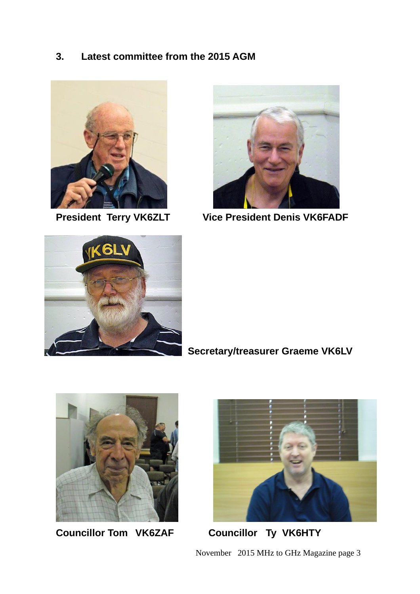#### **3. Latest committee from the 2015 AGM**





**President Terry VK6ZLT Vice President Denis VK6FADF** 



# **Secretary/treasurer Graeme VK6LV**



**Councillor Tom VK6ZAF Councillor Ty VK6HTY** 



November 2015 MHz to GHz Magazine page 3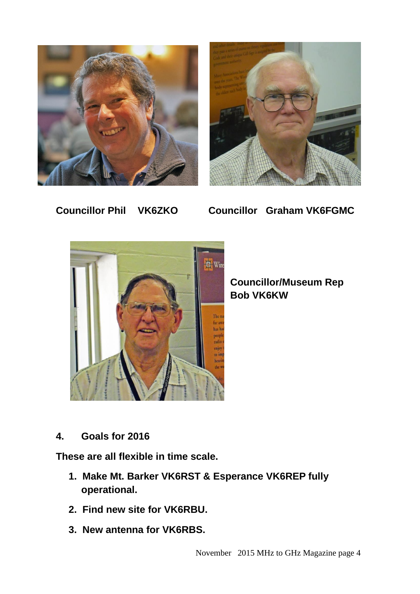



**Councillor Phil VK6ZKO** 

**Councillor Graham VK6FGMC** 



**Councillor/Museum Rep Bob VK6KW** 

**4. Goals for 2016** 

**These are all flexible in time scale.** 

- **1. Make Mt. Barker VK6RST & Esperance VK6REP fully operational.**
- **2. Find new site for VK6RBU.**
- **3. New antenna for VK6RBS.**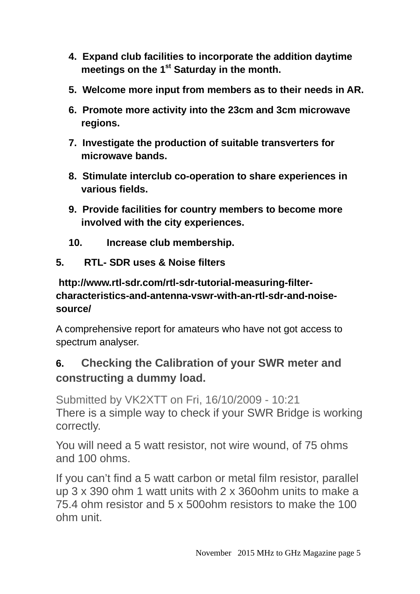- **4. Expand club facilities to incorporate the addition daytime meetings on the 1st Saturday in the month.**
- **5. Welcome more input from members as to their needs in AR.**
- **6. Promote more activity into the 23cm and 3cm microwave regions.**
- **7. Investigate the production of suitable transverters for microwave bands.**
- **8. Stimulate interclub co-operation to share experiences in various fields.**
- **9. Provide facilities for country members to become more involved with the city experiences.**
- **10. Increase club membership.**

#### **5. RTL- SDR uses & Noise filters**

## **http://www.rtl-sdr.com/rtl-sdr-tutorial-measuring-filtercharacteristics-and-antenna-vswr-with-an-rtl-sdr-and-noisesource/**

A comprehensive report for amateurs who have not got access to spectrum analyser.

# **6. Checking the Calibration of your SWR meter and constructing a dummy load.**

Submitted by VK2XTT on Fri, 16/10/2009 - 10:21 There is a simple way to check if your SWR Bridge is working correctly.

You will need a 5 watt resistor, not wire wound, of 75 ohms and 100 ohms.

If you can't find a 5 watt carbon or metal film resistor, parallel up 3 x 390 ohm 1 watt units with 2 x 360ohm units to make a 75.4 ohm resistor and 5 x 500ohm resistors to make the 100 ohm unit.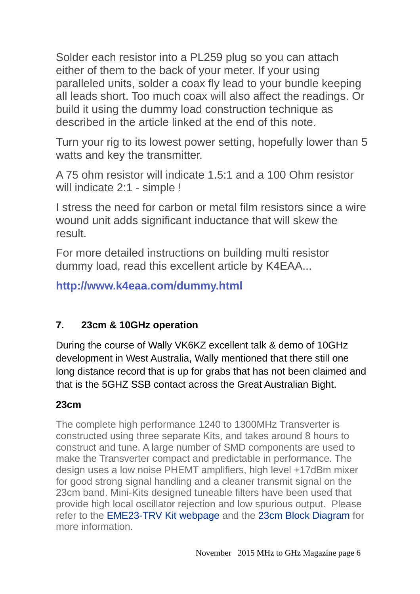Solder each resistor into a PL259 plug so you can attach either of them to the back of your meter. If your using paralleled units, solder a coax fly lead to your bundle keeping all leads short. Too much coax will also affect the readings. Or build it using the dummy load construction technique as described in the article linked at the end of this note.

Turn your rig to its lowest power setting, hopefully lower than 5 watts and key the transmitter.

A 75 ohm resistor will indicate 1.5:1 and a 100 Ohm resistor will indicate 2:1 - simple !

I stress the need for carbon or metal film resistors since a wire wound unit adds significant inductance that will skew the result.

For more detailed instructions on building multi resistor dummy load, read this excellent article by K4EAA...

**http://www.k4eaa.com/dummy.html**

## **7. 23cm & 10GHz operation**

During the course of Wally VK6KZ excellent talk & demo of 10GHz development in West Australia, Wally mentioned that there still one long distance record that is up for grabs that has not been claimed and that is the 5GHZ SSB contact across the Great Australian Bight.

## **23cm**

The complete high performance 1240 to 1300MHz Transverter is constructed using three separate Kits, and takes around 8 hours to construct and tune. A large number of SMD components are used to make the Transverter compact and predictable in performance. The design uses a low noise PHEMT amplifiers, high level +17dBm mixer for good strong signal handling and a cleaner transmit signal on the 23cm band. Mini-Kits designed tuneable filters have been used that provide high local oscillator rejection and low spurious output. Please refer to the EME23-TRV Kit webpage and the 23cm Block Diagram for more information.